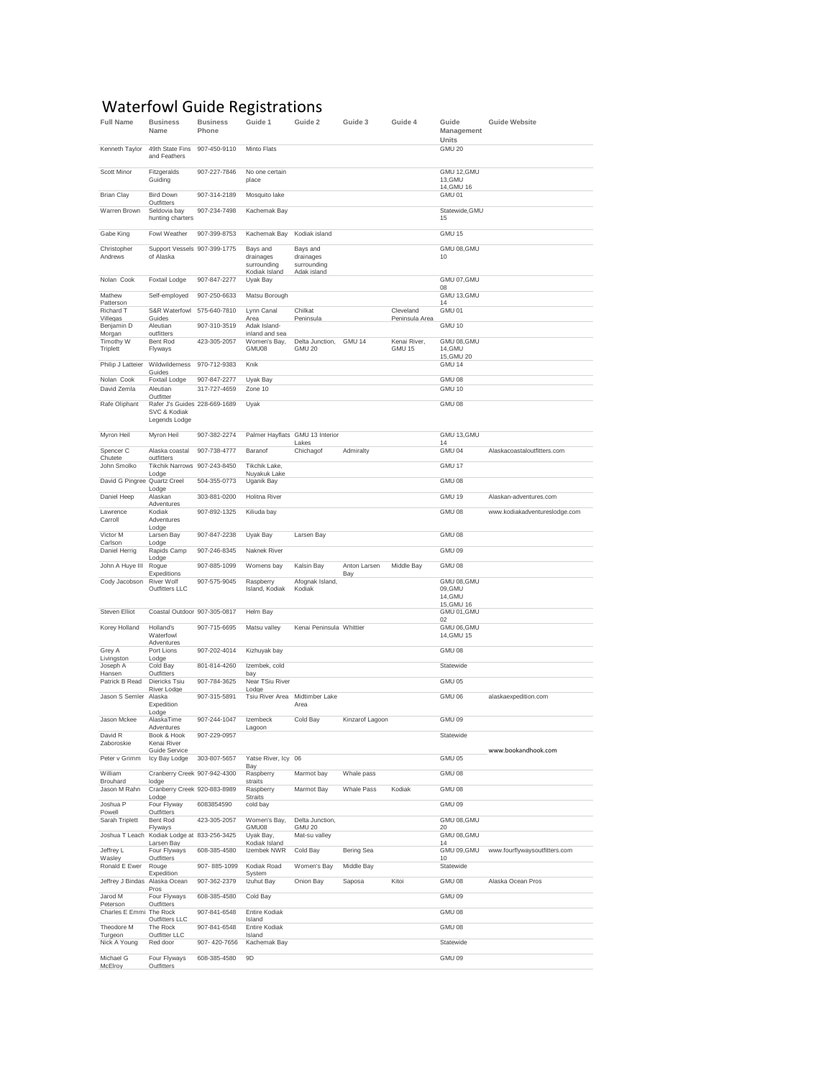## Waterfowl Guide Registrations

| <b>Full Name</b>                    | <b>Business</b><br>Name                                        | <b>Business</b><br>Phone | Guide 1                                   | Guide 2                                 | Guide 3             | Guide 4        | Guide<br>Management                  | <b>Guide Website</b>          |
|-------------------------------------|----------------------------------------------------------------|--------------------------|-------------------------------------------|-----------------------------------------|---------------------|----------------|--------------------------------------|-------------------------------|
| Kenneth Taylor                      | 49th State Fins<br>and Feathers                                | 907-450-9110             | Minto Flats                               |                                         |                     |                | Units<br>GMU 20                      |                               |
| Scott Minor                         | Fitzgeralds<br>Guiding                                         | 907-227-7846             | No one certain<br>place                   |                                         |                     |                | GMU 12, GMU<br>13, GMU<br>14, GMU 16 |                               |
| <b>Brian Clay</b>                   | <b>Bird Down</b>                                               | 907-314-2189             | Mosquito lake                             |                                         |                     |                | GMU 01                               |                               |
| Warren Brown                        | Outfitters<br>Seldovia bay<br>hunting charters                 | 907-234-7498             | Kachemak Bay                              |                                         |                     |                | Statewide, GMU<br>15                 |                               |
| Gabe King                           | Fowl Weather                                                   | 907-399-8753             | Kachemak Bay                              | Kodiak island                           |                     |                | GMU 15                               |                               |
| Christopher                         | Support Vessels 907-399-1775                                   |                          | Bays and                                  | Bays and                                |                     |                | GMU 08, GMU                          |                               |
| Andrews                             | of Alaska                                                      |                          | drainages<br>surrounding<br>Kodiak Island | drainages<br>surrounding<br>Adak island |                     |                | 10                                   |                               |
| Nolan Cook                          | Foxtail Lodge                                                  | 907-847-2277             | Uyak Bay                                  |                                         |                     |                | GMU 07, GMU<br>08                    |                               |
| Mathew<br>Patterson                 | Self-employed                                                  | 907-250-6633             | Matsu Borough                             |                                         |                     |                | GMU 13, GMU<br>14                    |                               |
| Richard T                           | S&R Waterfowl                                                  | 575-640-7810             | Lynn Canal                                | Chilkat                                 |                     | Cleveland      | GMU 01                               |                               |
| Villegas<br>Benjamin D              | Guides<br>Aleutian                                             | 907-310-3519             | Area<br>Adak Island-                      | Peninsula                               |                     | Peninsula Area | <b>GMU 10</b>                        |                               |
| Morgan<br>Timothy W                 | outfitters<br>Bent Rod                                         | 423-305-2057             | inland and sea<br>Women's Bay,            | Delta Junction,                         | GMU 14              | Kenai River,   | GMU 08, GMU                          |                               |
| Triplett                            | Flyways                                                        |                          | GMU08                                     | <b>GMU 20</b>                           |                     | GMU 15         | 14, GMU<br>15, GMU 20                |                               |
| Philip J Latteier                   | Wildwilderness<br>Guides                                       | 970-712-9383             | Knik                                      |                                         |                     |                | GMU 14                               |                               |
| Nolan Cook                          | Foxtail Lodge                                                  | 907-847-2277             | Uyak Bay                                  |                                         |                     |                | GMU 08                               |                               |
| David Zemla                         | Aleutian<br>Outfitter                                          | 317-727-4659             | Zone 10                                   |                                         |                     |                | GMU 10                               |                               |
| Rafe Oliphant                       | Rafer J's Guides 228-669-1689<br>SVC & Kodiak<br>Legends Lodge |                          | Uyak                                      |                                         |                     |                | GMU 08                               |                               |
| Myron Heil                          | Myron Heil                                                     | 907-382-2274             |                                           | Palmer Hayflats GMU 13 Interior         |                     |                | GMU 13, GMU                          |                               |
| Spencer C                           | Alaska coastal                                                 | 907-738-4777             | Baranof                                   | Lakes<br>Chichagof                      | Admiralty           |                | 14<br>GMU 04                         | Alaskacoastaloutfitters.com   |
| Chutete<br>John Smolko              | outfitters<br><b>Tikchik Narrows</b>                           | 907-243-8450             | Tikchik Lake,                             |                                         |                     |                | GMU 17                               |                               |
| David G Pingree Quartz Creel        | Lodge                                                          | 504-355-0773             | Nuyakuk Lake<br>Uganik Bay                |                                         |                     |                | GMU 08                               |                               |
| Daniel Heep                         | Lodge<br>Alaskan                                               | 303-881-0200             | <b>Holitna River</b>                      |                                         |                     |                | GMU 19                               | Alaskan-adventures.com        |
| Lawrence                            | Adventures<br>Kodiak                                           | 907-892-1325             | Kiliuda bay                               |                                         |                     |                | GMU 08                               | www.kodiakadventureslodge.com |
| Carroll                             | Adventures<br>Lodge                                            |                          |                                           |                                         |                     |                |                                      |                               |
| Victor M<br>Carlson                 | Larsen Bay<br>Lodge                                            | 907-847-2238             | Uyak Bay                                  | Larsen Bay                              |                     |                | GMU 08                               |                               |
| Daniel Herrig                       | Rapids Camp<br>Lodge                                           | 907-246-8345             | Naknek River                              |                                         |                     |                | GMU 09                               |                               |
| John A Huye III                     | Rogue<br>Expeditions                                           | 907-885-1099             | Womens bay                                | Kalsin Bay                              | Anton Larsen<br>Bay | Middle Bay     | GMU 08                               |                               |
| Cody Jacobson                       | River Wolf<br>Outfitters LLC                                   | 907-575-9045             | Raspberry<br>Island, Kodiak               | Afognak Island,<br>Kodiak               |                     |                | GMU 08, GMU<br>09, GMU<br>14, GMU    |                               |
|                                     |                                                                |                          |                                           |                                         |                     |                | 15, GMU 16                           |                               |
| Steven Elliot                       | Coastal Outdoor 907-305-0817                                   |                          | Helm Bay                                  |                                         |                     |                | GMU 01, GMU<br>02                    |                               |
| Korey Holland                       | Holland's<br>Waterfowl<br>Adventures                           | 907-715-6695             | Matsu valley                              | Kenai Peninsula Whittier                |                     |                | GMU 06, GMU<br>14, GMU 15            |                               |
| Grey A<br>Livingston                | Port Lions                                                     | 907-202-4014             | Kizhuyak bay                              |                                         |                     |                | GMU 08                               |                               |
| Joseph A                            | Lodge<br>Cold Bay                                              | 801-814-4260             | Izembek, cold                             |                                         |                     |                | Statewide                            |                               |
| Hansen<br>Patrick B Read            | Outfitters<br>Diericks Tsiu                                    | 907-784-3625             | bay<br>Near TSiu River                    |                                         |                     |                | GMU 05                               |                               |
| Jason S Semler                      | River Lodge<br>Alaska                                          | 907-315-5891             | Lodge<br>Tsiu River Area                  | Midtimber Lake                          |                     |                | GMU 06                               | alaskaexpedition.com          |
|                                     | Expedition<br>Lodge                                            |                          |                                           | Area                                    |                     |                |                                      |                               |
| Jason Mckee                         | AlaskaTime<br>Adventures                                       | 907-244-1047             | Izembeck<br>Lagoon                        | Cold Bay                                | Kinzarof Lagoon     |                | GMU 09                               |                               |
| David R<br>Zaboroskie               | Book & Hook<br>Kenai River                                     | 907-229-0957             |                                           |                                         |                     |                | Statewide                            |                               |
| Peter v Grimm                       | Guide Service<br>Icy Bay Lodge                                 | 303-807-5657             | Yatse River, Icy 06                       |                                         |                     |                | GMU 05                               | www.bookandhook.com           |
| William                             | Cranberry Creek 907-942-4300                                   |                          | Bay<br>Raspberry                          | Marmot bay                              | Whale pass          |                | <b>GMU 08</b>                        |                               |
| Brouhard<br>Jason M Rahn            | lodge<br>Cranberry Creek 920-883-8989                          |                          | straits<br>Raspberry                      | Marmot Bay                              | Whale Pass          | Kodiak         | GMU 08                               |                               |
|                                     | Lodge                                                          |                          | <b>Straits</b>                            |                                         |                     |                |                                      |                               |
| Joshua P<br>Powell                  | Four Flyway<br>Outfitters                                      | 6083854590               | cold bay                                  |                                         |                     |                | GMU 09                               |                               |
| Sarah Triplett                      | Bent Rod<br>Flyways                                            | 423-305-2057             | Women's Bay,<br>GMU08                     | Delta Junction,<br><b>GMU 20</b>        |                     |                | GMU 08, GMU<br>20                    |                               |
| Joshua T Leach                      | Kodiak Lodge at                                                | 833-256-3425             | Uyak Bay,                                 | Mat-su valley                           |                     |                | GMU 08, GMU                          |                               |
| Jeffrey L                           | Larsen Bay<br>Four Flyways                                     | 608-385-4580             | Kodiak Island<br>Izembek NWR              | Cold Bay                                | Bering Sea          |                | 14<br>GMU 09, GMU                    | www.fourflywaysoutfitters.com |
| Wasley<br>Ronald E Ewer             | Outfitters<br>Rouge                                            | 907-885-1099             | Kodiak Road                               | Women's Bay                             | Middle Bay          |                | 10<br>Statewide                      |                               |
| Jeffrey J Bindas                    | Expedition<br>Alaska Ocean                                     | 907-362-2379             | System<br>Izuhut Bay                      | Onion Bay                               | Saposa              | Kitoi          | GMU 08                               | Alaska Ocean Pros             |
| Jarod M                             | Pros<br>Four Flyways                                           | 608-385-4580             | Cold Bay                                  |                                         |                     |                | GMU 09                               |                               |
| Peterson<br>Charles E Emmi The Rock | Outfitters                                                     | 907-841-6548             | Entire Kodiak                             |                                         |                     |                | GMU 08                               |                               |
| Theodore M                          | Outfitters LLC<br>The Rock                                     | 907-841-6548             | Island<br>Entire Kodiak                   |                                         |                     |                | <b>GMU 08</b>                        |                               |
| Turgeon                             | Outfitter LLC                                                  |                          | Island                                    |                                         |                     |                |                                      |                               |
| Nick A Young                        | Red door                                                       | 907-420-7656             | Kachemak Bay                              |                                         |                     |                | Statewide                            |                               |
| Michael G<br>McElroy                | Four Flyways<br>Outfitters                                     | 608-385-4580             | 9D                                        |                                         |                     |                | GMU 09                               |                               |